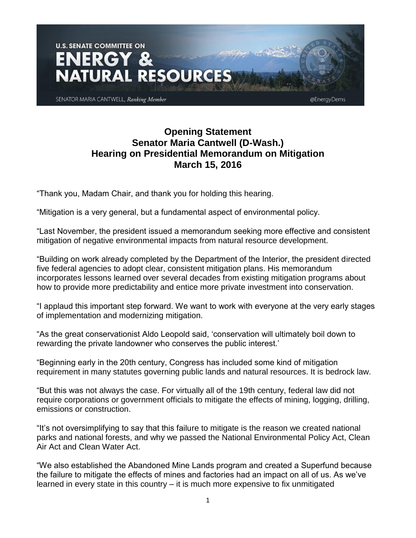

## **Opening Statement Senator Maria Cantwell (D-Wash.) Hearing on Presidential Memorandum on Mitigation March 15, 2016**

"Thank you, Madam Chair, and thank you for holding this hearing.

"Mitigation is a very general, but a fundamental aspect of environmental policy.

"Last November, the president issued a memorandum seeking more effective and consistent mitigation of negative environmental impacts from natural resource development.

"Building on work already completed by the Department of the Interior, the president directed five federal agencies to adopt clear, consistent mitigation plans. His memorandum incorporates lessons learned over several decades from existing mitigation programs about how to provide more predictability and entice more private investment into conservation.

"I applaud this important step forward. We want to work with everyone at the very early stages of implementation and modernizing mitigation.

"As the great conservationist Aldo Leopold said, 'conservation will ultimately boil down to rewarding the private landowner who conserves the public interest.'

"Beginning early in the 20th century, Congress has included some kind of mitigation requirement in many statutes governing public lands and natural resources. It is bedrock law.

"But this was not always the case. For virtually all of the 19th century, federal law did not require corporations or government officials to mitigate the effects of mining, logging, drilling, emissions or construction.

"It's not oversimplifying to say that this failure to mitigate is the reason we created national parks and national forests, and why we passed the National Environmental Policy Act, Clean Air Act and Clean Water Act.

"We also established the Abandoned Mine Lands program and created a Superfund because the failure to mitigate the effects of mines and factories had an impact on all of us. As we've learned in every state in this country – it is much more expensive to fix unmitigated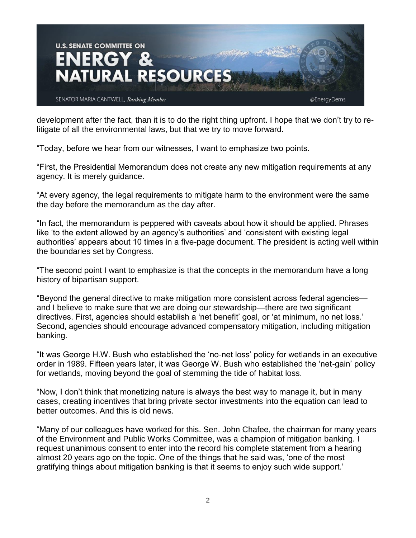

development after the fact, than it is to do the right thing upfront. I hope that we don't try to relitigate of all the environmental laws, but that we try to move forward.

"Today, before we hear from our witnesses, I want to emphasize two points.

"First, the Presidential Memorandum does not create any new mitigation requirements at any agency. It is merely guidance.

"At every agency, the legal requirements to mitigate harm to the environment were the same the day before the memorandum as the day after.

"In fact, the memorandum is peppered with caveats about how it should be applied. Phrases like 'to the extent allowed by an agency's authorities' and 'consistent with existing legal authorities' appears about 10 times in a five-page document. The president is acting well within the boundaries set by Congress.

"The second point I want to emphasize is that the concepts in the memorandum have a long history of bipartisan support.

"Beyond the general directive to make mitigation more consistent across federal agencies and I believe to make sure that we are doing our stewardship—there are two significant directives. First, agencies should establish a 'net benefit' goal, or 'at minimum, no net loss.' Second, agencies should encourage advanced compensatory mitigation, including mitigation banking.

"It was George H.W. Bush who established the 'no-net loss' policy for wetlands in an executive order in 1989. Fifteen years later, it was George W. Bush who established the 'net-gain' policy for wetlands, moving beyond the goal of stemming the tide of habitat loss.

"Now, I don't think that monetizing nature is always the best way to manage it, but in many cases, creating incentives that bring private sector investments into the equation can lead to better outcomes. And this is old news.

"Many of our colleagues have worked for this. Sen. John Chafee, the chairman for many years of the Environment and Public Works Committee, was a champion of mitigation banking. I request unanimous consent to enter into the record his complete statement from a hearing almost 20 years ago on the topic. One of the things that he said was, 'one of the most gratifying things about mitigation banking is that it seems to enjoy such wide support.'